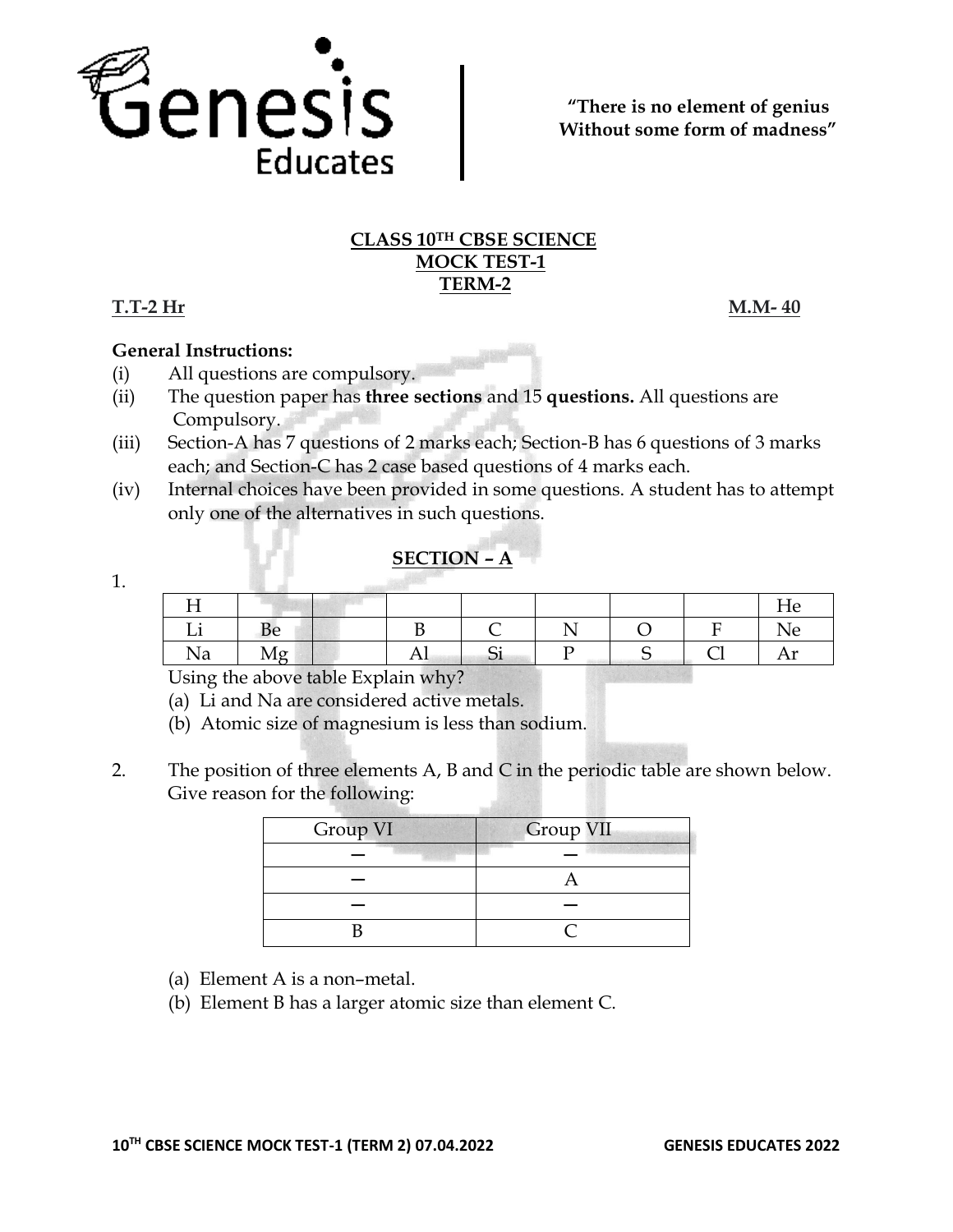

### **CLASS 10TH CBSE SCIENCE MOCK TEST-1 TERM-2**

## **T.T-2 Hr M.M- 40**

**General Instructions:**

- (i) All questions are compulsory.
- (ii) The question paper has **three sections** and 15 **questions.** All questions are Compulsory.
- (iii) Section-A has 7 questions of 2 marks each; Section-B has 6 questions of 3 marks each; and Section-C has 2 case based questions of 4 marks each.
- (iv) Internal choices have been provided in some questions. A student has to attempt only one of the alternatives in such questions.

# **SECTION – A**

1.

| тт    |                    |                                    |          |  | He           |
|-------|--------------------|------------------------------------|----------|--|--------------|
| . .   |                    |                                    |          |  | Ne           |
| Na    |                    | ΑI                                 | r.<br>ΩI |  | . T<br>7 T T |
| $  -$ | $\sim$ 11 $\sim$ 1 | $\sim$<br>$\overline{\phantom{a}}$ |          |  |              |

Using the above table Explain why?

- (a) Li and Na are considered active metals.
- (b) Atomic size of magnesium is less than sodium.
- 2. The position of three elements A, B and C in the periodic table are shown below. Give reason for the following:

| Group VI | Group VII |  |  |
|----------|-----------|--|--|
|          |           |  |  |
|          |           |  |  |
|          |           |  |  |
|          |           |  |  |

- (a) Element A is a non–metal.
- (b) Element B has a larger atomic size than element C.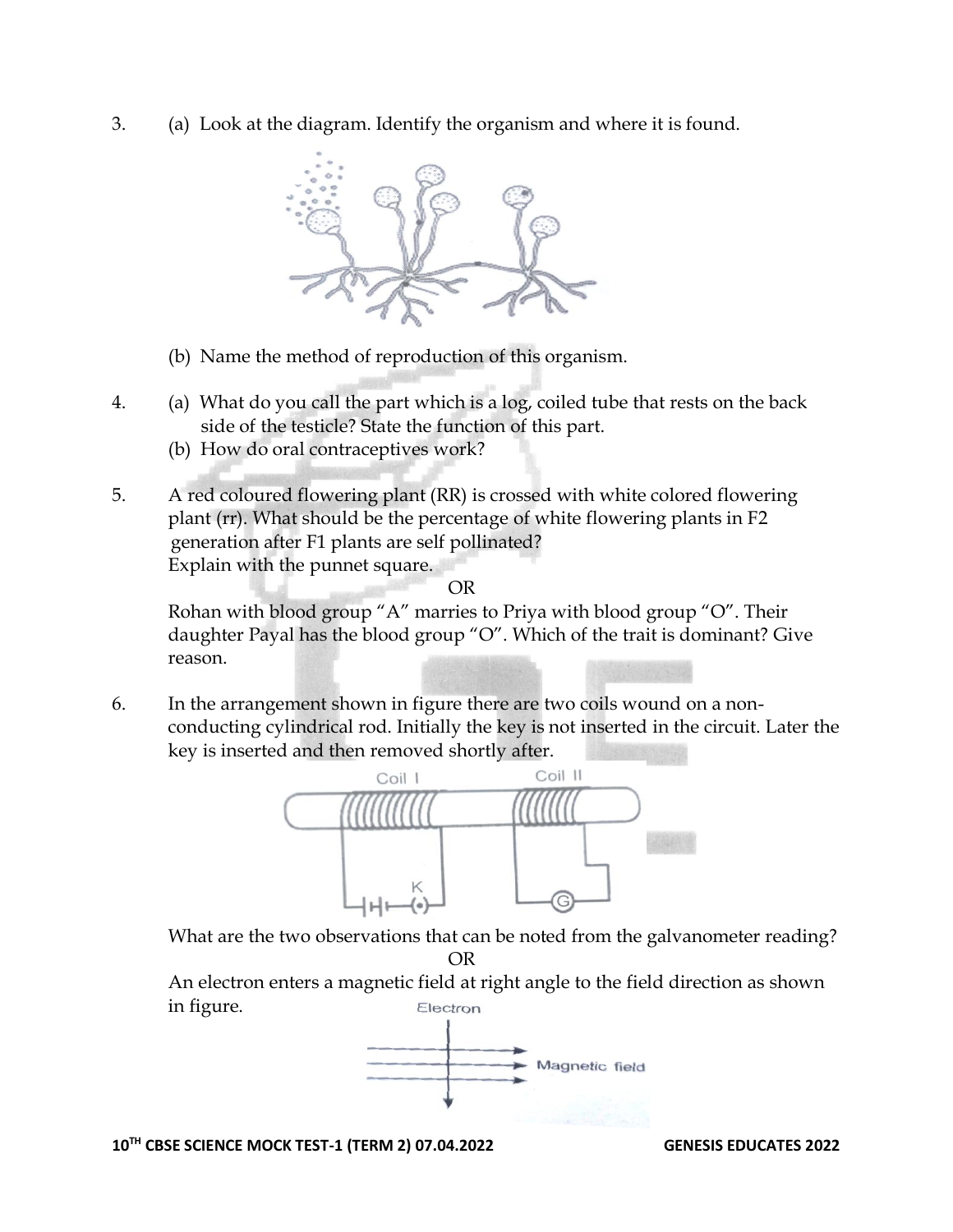3. (a) Look at the diagram. Identify the organism and where it is found.



- (b) Name the method of reproduction of this organism.
- 4. (a) What do you call the part which is a log, coiled tube that rests on the back side of the testicle? State the function of this part.
	- (b) How do oral contraceptives work?
- 5. A red coloured flowering plant (RR) is crossed with white colored flowering plant (rr). What should be the percentage of white flowering plants in F2 generation after F1 plants are self pollinated? Explain with the punnet square.

OR

Rohan with blood group "A" marries to Priya with blood group "O". Their daughter Payal has the blood group "O". Which of the trait is dominant? Give reason.

6. In the arrangement shown in figure there are two coils wound on a nonconducting cylindrical rod. Initially the key is not inserted in the circuit. Later the key is inserted and then removed shortly after.



What are the two observations that can be noted from the galvanometer reading?

OR

An electron enters a magnetic field at right angle to the field direction as shown in figure.Electron



**10TH CBSE SCIENCE MOCK TEST-1 (TERM 2) 07.04.2022 GENESIS EDUCATES 2022**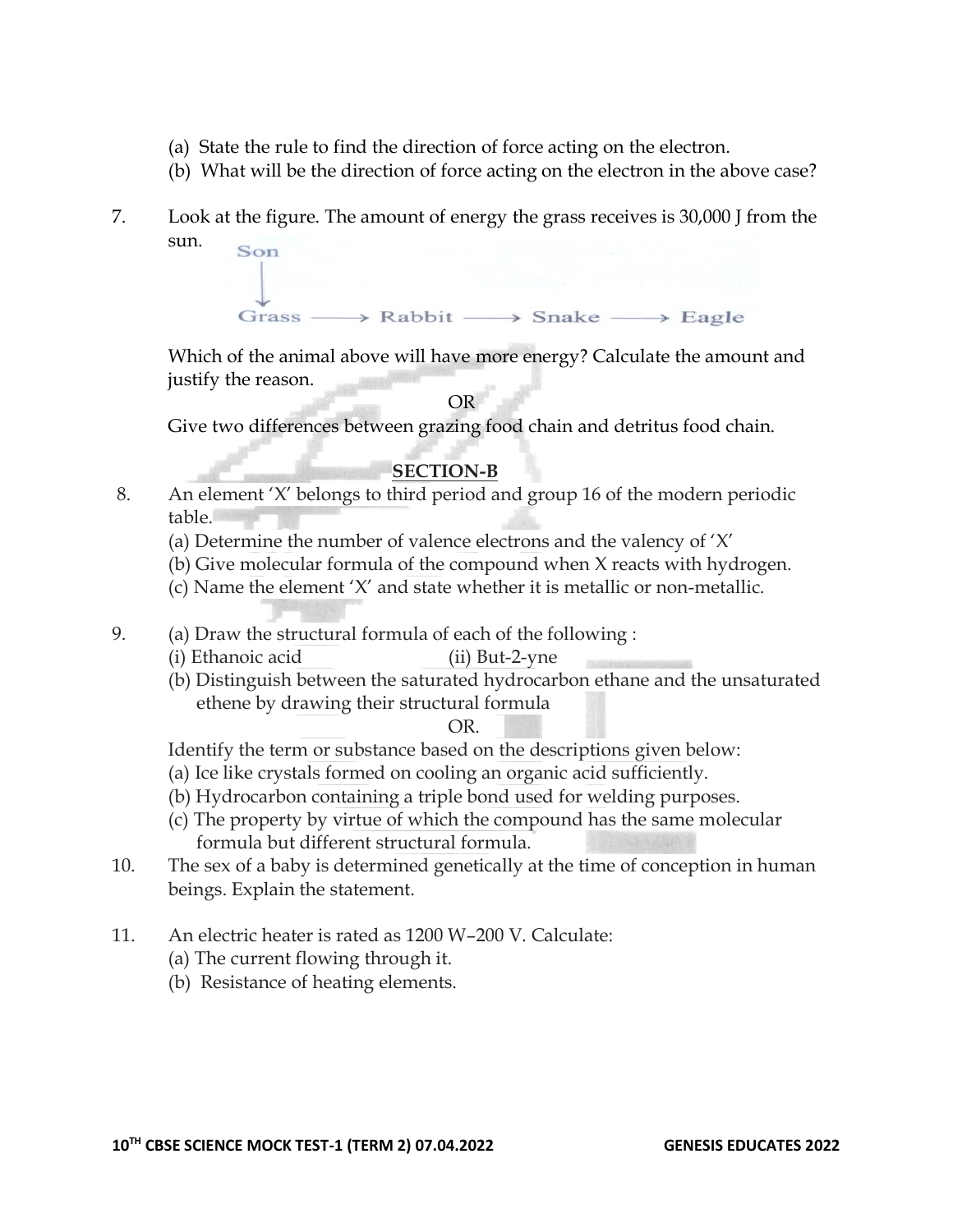- (a) State the rule to find the direction of force acting on the electron.
- (b) What will be the direction of force acting on the electron in the above case?
- 7. Look at the figure. The amount of energy the grass receives is 30,000 J from the sun. Son



Which of the animal above will have more energy? Calculate the amount and justify the reason.

OR

Give two differences between grazing food chain and detritus food chain.

## **SECTION-B**

- 8. An element 'X' belongs to third period and group 16 of the modern periodic table.
	- (a) Determine the number of valence electrons and the valency of 'X'
	- (b) Give molecular formula of the compound when X reacts with hydrogen.
	- (c) Name the element 'X' and state whether it is metallic or non-metallic.
- 9. (a) Draw the structural formula of each of the following :
	- (i) Ethanoic acid (ii) But-2-yne
	- (b) Distinguish between the saturated hydrocarbon ethane and the unsaturated ethene by drawing their structural formula

### OR.

Identify the term or substance based on the descriptions given below:

- (a) Ice like crystals formed on cooling an organic acid sufficiently.
- (b) Hydrocarbon containing a triple bond used for welding purposes.
- (c) The property by virtue of which the compound has the same molecular formula but different structural formula.
- 10. The sex of a baby is determined genetically at the time of conception in human beings. Explain the statement.
- 11. An electric heater is rated as 1200 W–200 V. Calculate:
	- (a) The current flowing through it.
	- (b) Resistance of heating elements.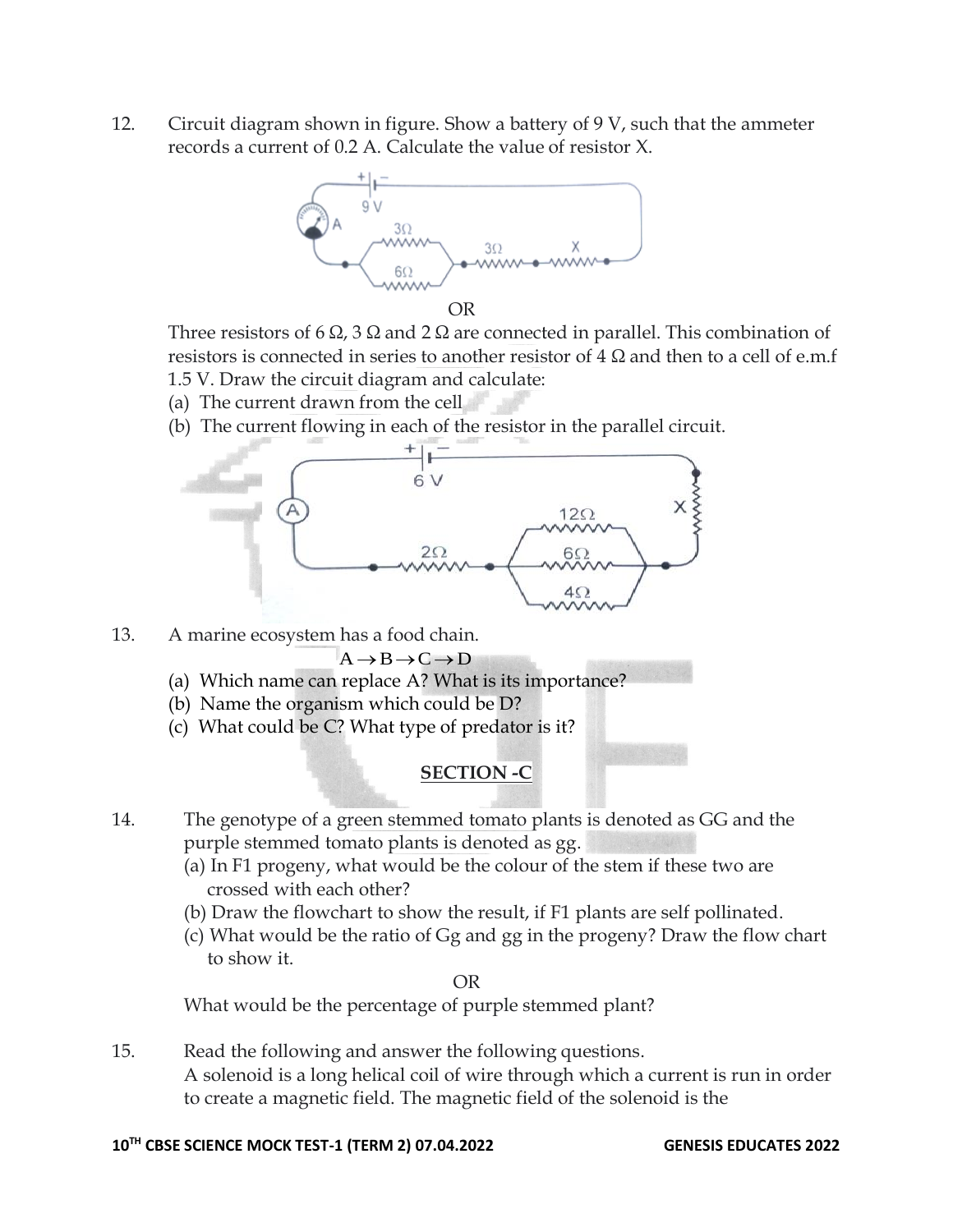12. Circuit diagram shown in figure. Show a battery of 9 V, such that the ammeter records a current of 0.2 A. Calculate the value of resistor X.



OR

Three resistors of 6  $\Omega$ , 3  $\Omega$  and 2  $\Omega$  are connected in parallel. This combination of resistors is connected in series to another resistor of  $4 \Omega$  and then to a cell of e.m.f 1.5 V. Draw the circuit diagram and calculate:

- (a) The current drawn from the cell
- (b) The current flowing in each of the resistor in the parallel circuit.



13. A marine ecosystem has a food chain.

 $A \rightarrow B \rightarrow C \rightarrow D$ 

- (a) Which name can replace A? What is its importance?
- (b) Name the organism which could be D?
- (c) What could be C? What type of predator is it?

### **SECTION -C**

- 14. The genotype of a green stemmed tomato plants is denoted as GG and the purple stemmed tomato plants is denoted as gg.
	- (a) In F1 progeny, what would be the colour of the stem if these two are crossed with each other?
	- (b) Draw the flowchart to show the result, if F1 plants are self pollinated.
	- (c) What would be the ratio of Gg and gg in the progeny? Draw the flow chart to show it.

OR

What would be the percentage of purple stemmed plant?

15. Read the following and answer the following questions. A solenoid is a long helical coil of wire through which a current is run in order to create a magnetic field. The magnetic field of the solenoid is the

### **10TH CBSE SCIENCE MOCK TEST-1 (TERM 2) 07.04.2022 GENESIS EDUCATES 2022**